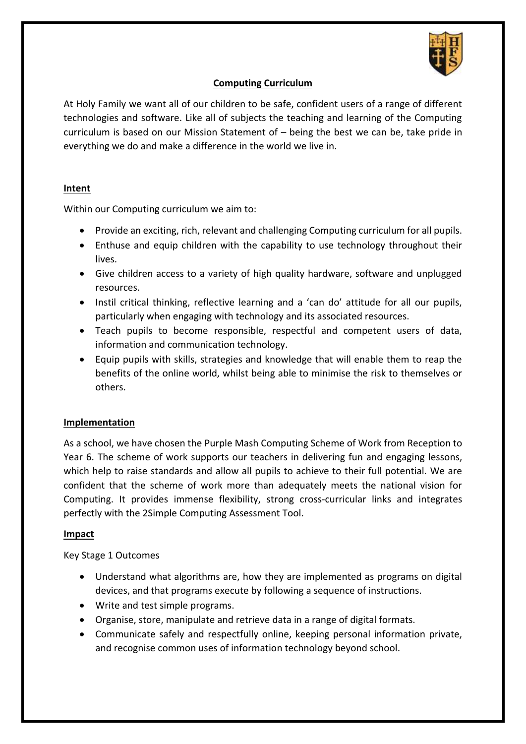

## **Computing Curriculum**

At Holy Family we want all of our children to be safe, confident users of a range of different technologies and software. Like all of subjects the teaching and learning of the Computing curriculum is based on our Mission Statement of – being the best we can be, take pride in everything we do and make a difference in the world we live in.

## **Intent**

Within our Computing curriculum we aim to:

- Provide an exciting, rich, relevant and challenging Computing curriculum for all pupils.
- Enthuse and equip children with the capability to use technology throughout their lives.
- Give children access to a variety of high quality hardware, software and unplugged resources.
- Instil critical thinking, reflective learning and a 'can do' attitude for all our pupils, particularly when engaging with technology and its associated resources.
- Teach pupils to become responsible, respectful and competent users of data, information and communication technology.
- Equip pupils with skills, strategies and knowledge that will enable them to reap the benefits of the online world, whilst being able to minimise the risk to themselves or others.

## **Implementation**

As a school, we have chosen the Purple Mash Computing Scheme of Work from Reception to Year 6. The scheme of work supports our teachers in delivering fun and engaging lessons, which help to raise standards and allow all pupils to achieve to their full potential. We are confident that the scheme of work more than adequately meets the national vision for Computing. It provides immense flexibility, strong cross-curricular links and integrates perfectly with the 2Simple Computing Assessment Tool.

## **Impact**

Key Stage 1 Outcomes

- Understand what algorithms are, how they are implemented as programs on digital devices, and that programs execute by following a sequence of instructions.
- Write and test simple programs.
- Organise, store, manipulate and retrieve data in a range of digital formats.
- Communicate safely and respectfully online, keeping personal information private, and recognise common uses of information technology beyond school.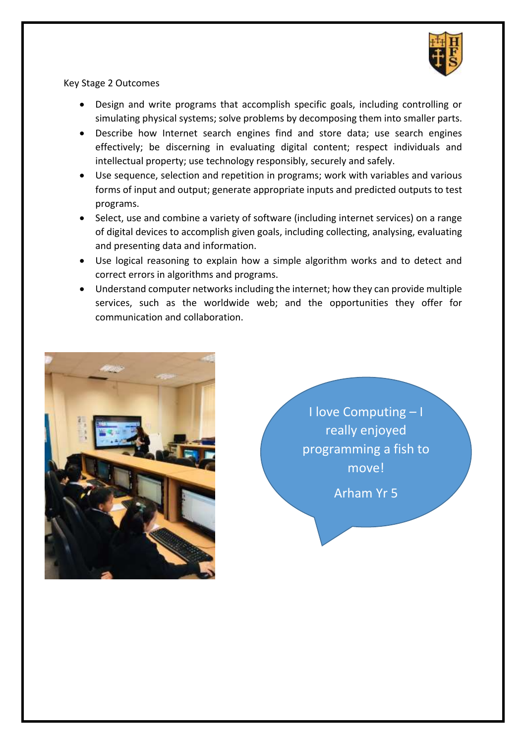

Key Stage 2 Outcomes

- Design and write programs that accomplish specific goals, including controlling or simulating physical systems; solve problems by decomposing them into smaller parts.
- Describe how Internet search engines find and store data; use search engines effectively; be discerning in evaluating digital content; respect individuals and intellectual property; use technology responsibly, securely and safely.
- Use sequence, selection and repetition in programs; work with variables and various forms of input and output; generate appropriate inputs and predicted outputs to test programs.
- Select, use and combine a variety of software (including internet services) on a range of digital devices to accomplish given goals, including collecting, analysing, evaluating and presenting data and information.
- Use logical reasoning to explain how a simple algorithm works and to detect and correct errors in algorithms and programs.
- Understand computer networks including the internet; how they can provide multiple services, such as the worldwide web; and the opportunities they offer for communication and collaboration.



I love Computing – I really enjoyed programming a fish to move!

Arham Yr 5